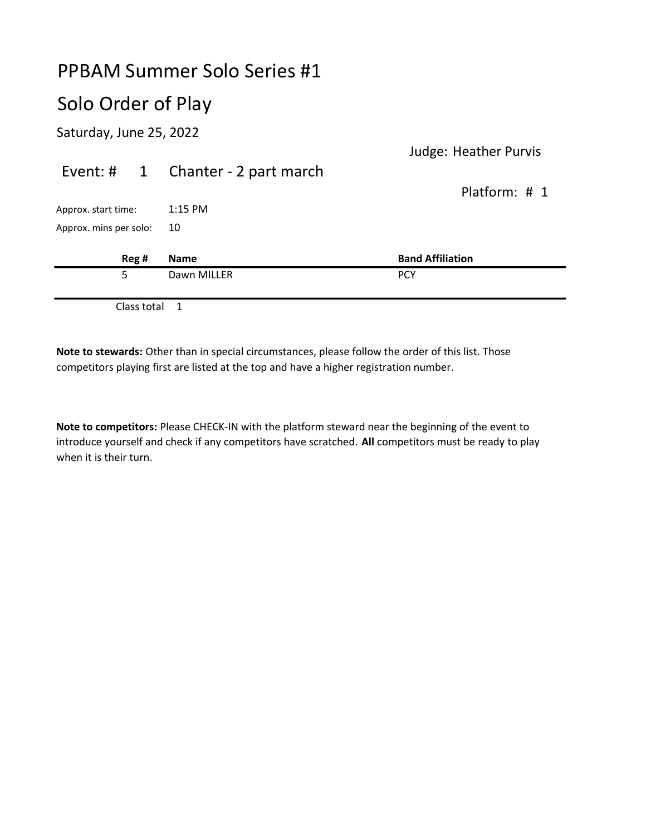# Solo Order of Play

Saturday, June 25, 2022

| 5                      |       | Dawn MILLER            | <b>PCY</b>                    |
|------------------------|-------|------------------------|-------------------------------|
|                        | Reg # | <b>Name</b>            | <b>Band Affiliation</b>       |
| Approx. mins per solo: |       | 10                     |                               |
| Approx. start time:    |       | $1:15$ PM              |                               |
|                        |       |                        | Platform: # 1                 |
| Event: $\sharp$ 1      |       | Chanter - 2 part march |                               |
|                        |       |                        | $38.721$ $1.983121$ $1.91112$ |

Judge: Heather Purvis

Class total 1

Note to stewards: Other than in special circumstances, please follow the order of this list. Those competitors playing first are listed at the top and have a higher registration number.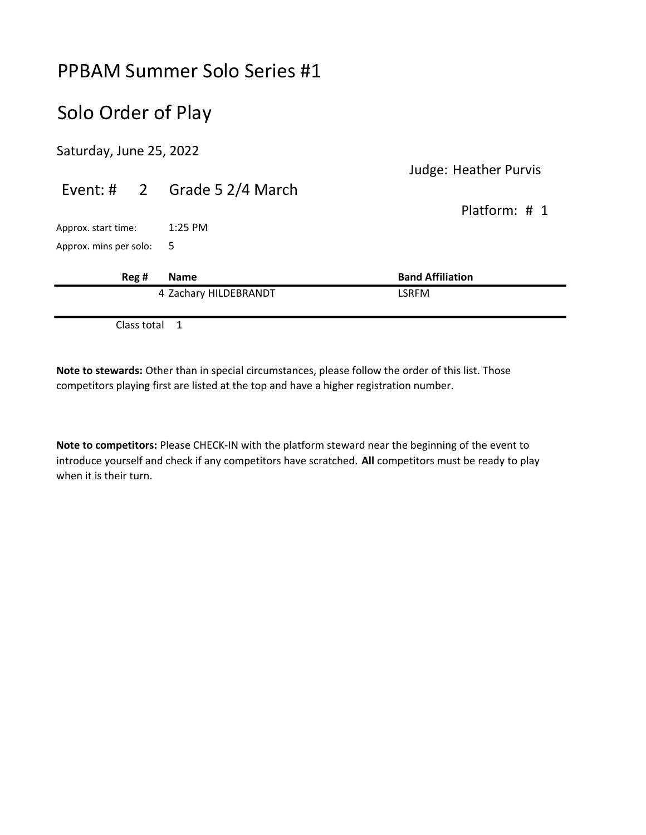## Solo Order of Play

Saturday, June 25, 2022

|                        |  |                                | Judge: Heather Purvis   |
|------------------------|--|--------------------------------|-------------------------|
|                        |  | Event: # $2$ Grade 5 2/4 March |                         |
|                        |  |                                | Platform: $\#$ 1        |
| Approx. start time:    |  | $1:25$ PM                      |                         |
| Approx. mins per solo: |  | 5                              |                         |
|                        |  |                                |                         |
| Reg #                  |  | <b>Name</b>                    | <b>Band Affiliation</b> |
|                        |  | 4 Zachary HILDEBRANDT          | <b>LSRFM</b>            |
|                        |  |                                |                         |

Class total 1

Note to stewards: Other than in special circumstances, please follow the order of this list. Those competitors playing first are listed at the top and have a higher registration number.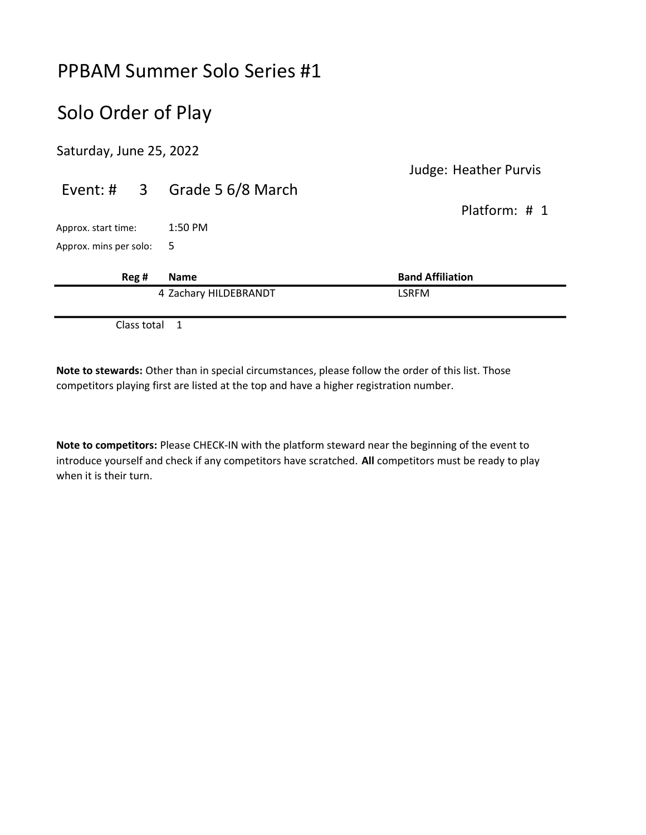## Solo Order of Play

Saturday, June 25, 2022

|                          |             |                              | <b>Judge: Heather Purvis</b> |
|--------------------------|-------------|------------------------------|------------------------------|
|                          |             | Event: # 3 Grade 5 6/8 March |                              |
|                          |             |                              | Platform: # 1                |
| Approx. start time:      |             | $1:50$ PM                    |                              |
| Approx. mins per solo: 5 |             |                              |                              |
|                          | Reg #       | <b>Name</b>                  | <b>Band Affiliation</b>      |
|                          |             | 4 Zachary HILDEBRANDT        | <b>LSRFM</b>                 |
|                          | Class total | -1                           |                              |

Note to stewards: Other than in special circumstances, please follow the order of this list. Those competitors playing first are listed at the top and have a higher registration number.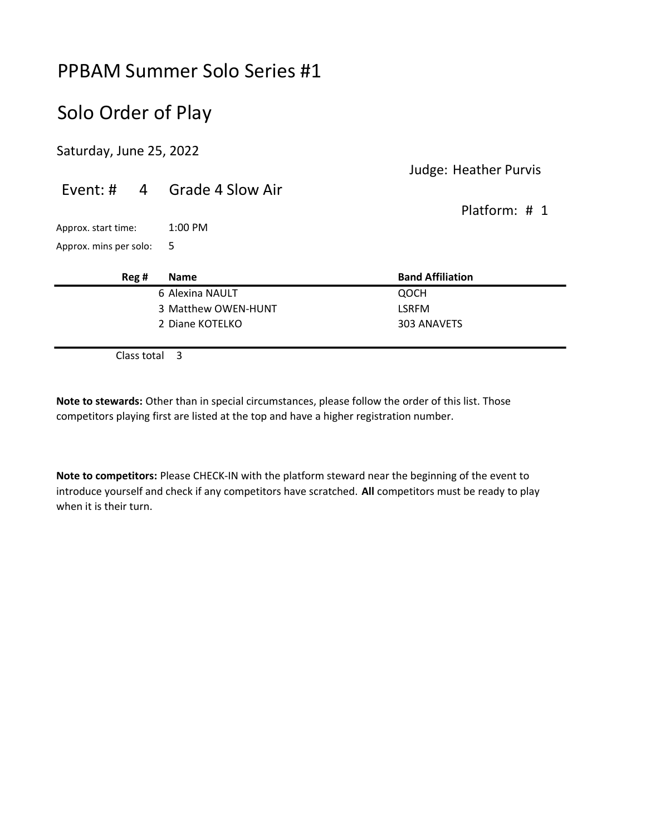## Solo Order of Play

Saturday, June 25, 2022

|                        |                             | Judge: Heather Purvis   |
|------------------------|-----------------------------|-------------------------|
|                        | Event: # 4 Grade 4 Slow Air | Platform: $\#$ 1        |
| Approx. start time:    | $1:00$ PM                   |                         |
| Approx. mins per solo: | - 5                         |                         |
| Reg#                   | <b>Name</b>                 | <b>Band Affiliation</b> |
|                        | 6 Alexina NAULT             | QOCH                    |

3 Matthew OWEN-HUNT LSRFM 2 Diane KOTELKO 303 ANAVETS

Class total 3

Note to stewards: Other than in special circumstances, please follow the order of this list. Those competitors playing first are listed at the top and have a higher registration number.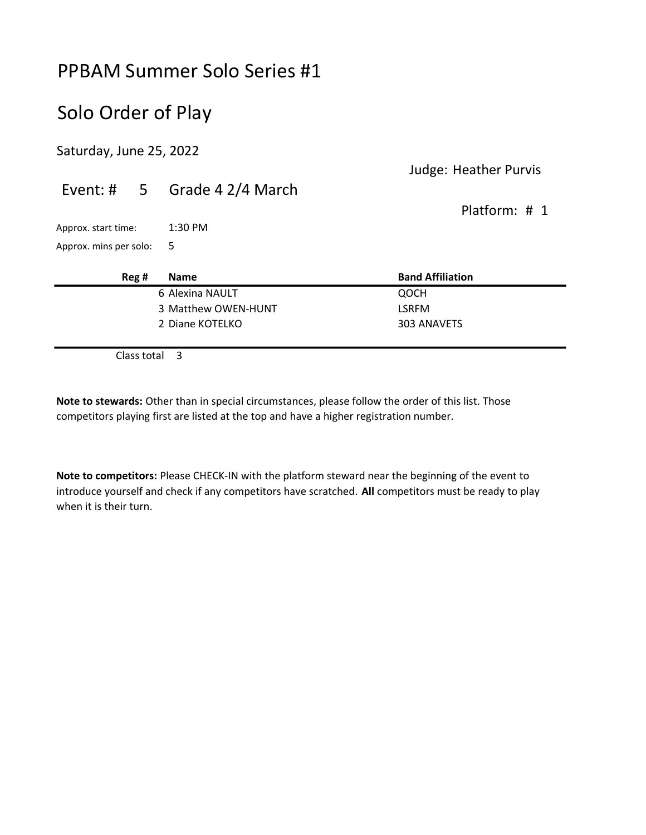## Solo Order of Play

Saturday, June 25, 2022

#### Judge: Heather Purvis

#### Event: # 5 Grade 4 2/4 March Platform: # 1 Approx. start time: 1:30 PM Approx. mins per solo: 5 Reg # Name Band Affiliation 6 Alexina NAULT QOCH 3 Matthew OWEN-HUNT LSRFM 2 Diane KOTELKO 303 ANAVETS

Class total 3

Note to stewards: Other than in special circumstances, please follow the order of this list. Those competitors playing first are listed at the top and have a higher registration number.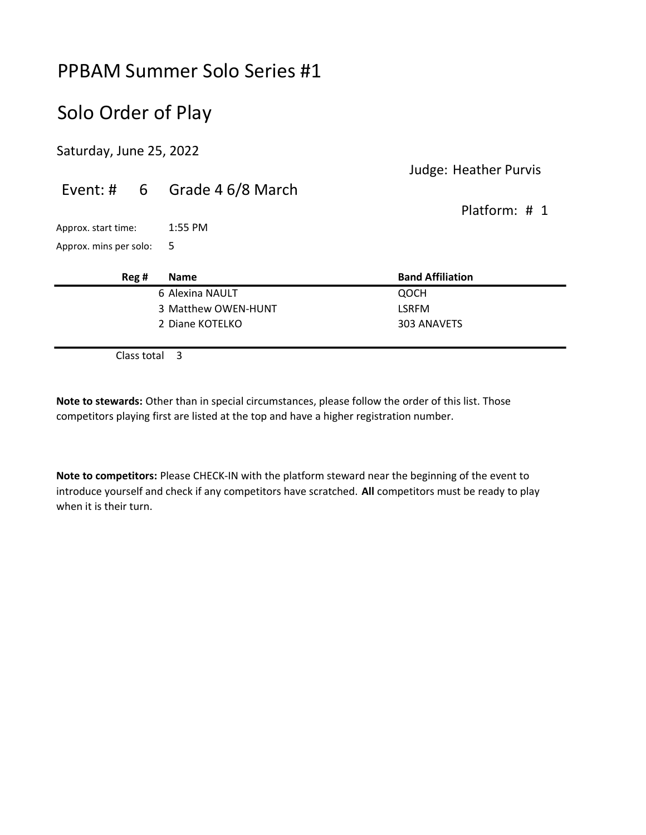## Solo Order of Play

Saturday, June 25, 2022

#### Judge: Heather Purvis

#### Event: # 6 Grade 4 6/8 March Platform: # 1 Approx. start time: 1:55 PM Approx. mins per solo: 5 Reg # Name Band Affiliation 6 Alexina NAULT QOCH 3 Matthew OWEN-HUNT LSRFM 2 Diane KOTELKO 303 ANAVETS

Class total 3

Note to stewards: Other than in special circumstances, please follow the order of this list. Those competitors playing first are listed at the top and have a higher registration number.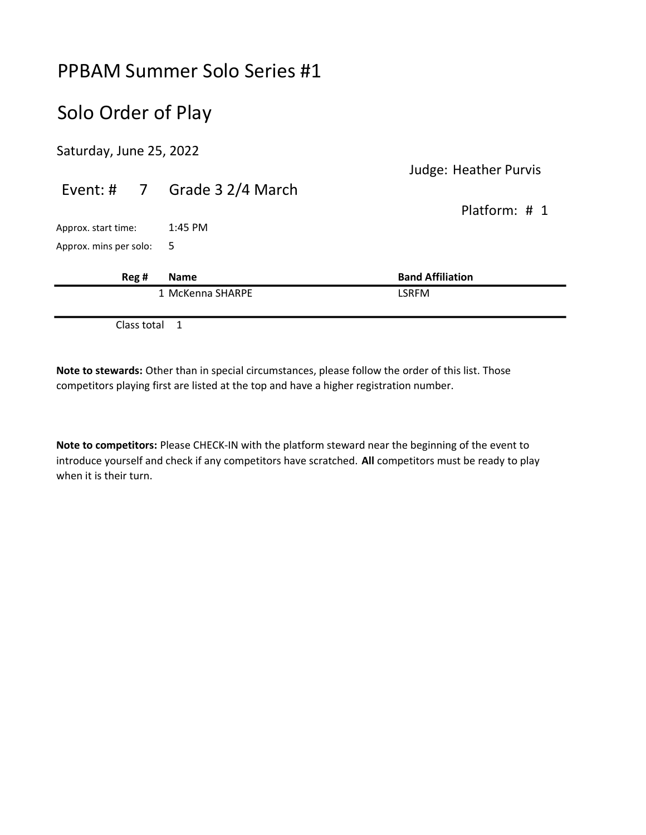## Solo Order of Play

Saturday, June 25, 2022

|                        |                                           |                              | <b>Judge: Heather Purvis</b> |
|------------------------|-------------------------------------------|------------------------------|------------------------------|
|                        |                                           | Event: # 7 Grade 3 2/4 March |                              |
|                        |                                           |                              | Platform: # 1                |
| Approx. start time:    |                                           | $1:45$ PM                    |                              |
| Approx. mins per solo: |                                           | - 5                          |                              |
|                        | Reg #                                     | <b>Name</b>                  | <b>Band Affiliation</b>      |
|                        |                                           | 1 McKenna SHARPE             | <b>LSRFM</b>                 |
|                        | $\sim$ $\sim$ $\sim$ $\sim$ $\sim$ $\sim$ |                              |                              |

Class total 1

Note to stewards: Other than in special circumstances, please follow the order of this list. Those competitors playing first are listed at the top and have a higher registration number.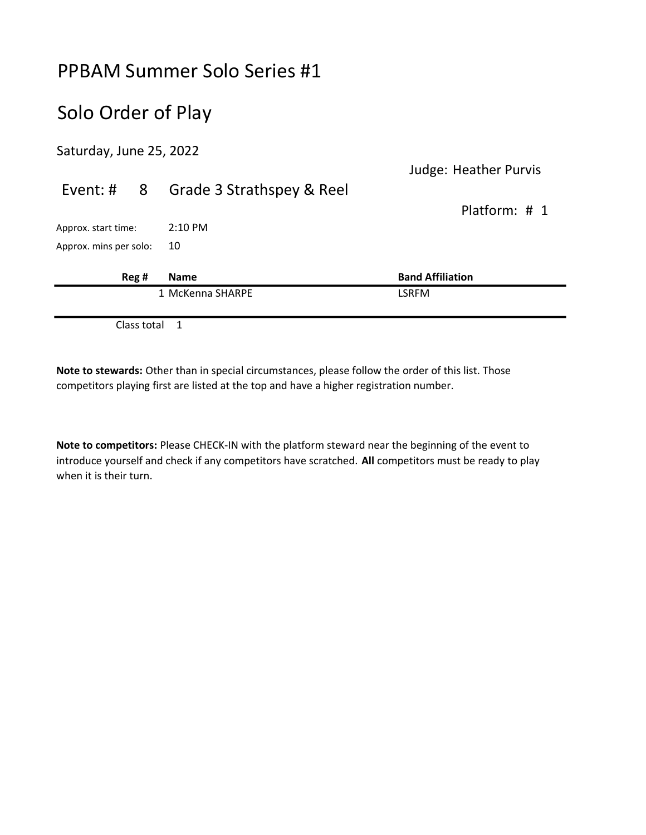## Solo Order of Play

Saturday, June 25, 2022

|                        |                           | <b>Judge: Heather Purvis</b> |
|------------------------|---------------------------|------------------------------|
| Event: #<br>-8         | Grade 3 Strathspey & Reel |                              |
|                        |                           | Platform: # 1                |
| Approx. start time:    | $2:10 \text{ PM}$         |                              |
| Approx. mins per solo: | 10                        |                              |
| Reg #                  | <b>Name</b>               | <b>Band Affiliation</b>      |
|                        | 1 McKenna SHARPE          | LSRFM                        |
|                        |                           |                              |

Class total 1

Note to stewards: Other than in special circumstances, please follow the order of this list. Those competitors playing first are listed at the top and have a higher registration number.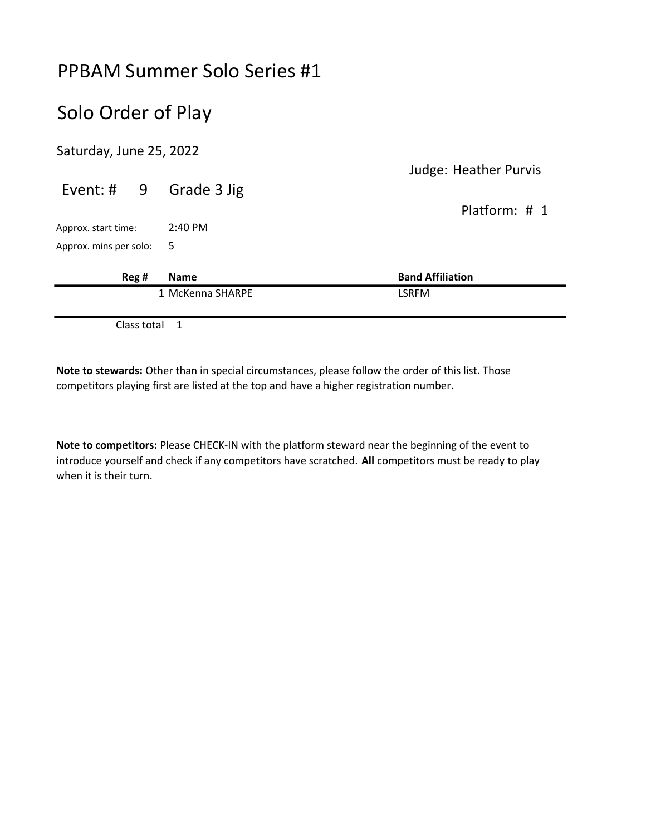## Solo Order of Play

Saturday, June 25, 2022

|                          |                   | <b>Judge: Heather Purvis</b> |
|--------------------------|-------------------|------------------------------|
| Event: $\#$ 9            | Grade 3 Jig       | Platform: # 1                |
| Approx. start time:      | $2:40 \text{ PM}$ |                              |
| Approx. mins per solo: 5 |                   |                              |
| Reg #                    | <b>Name</b>       | <b>Band Affiliation</b>      |
|                          | 1 McKenna SHARPE  | <b>LSRFM</b>                 |
|                          | .                 |                              |

Class total 1

Note to stewards: Other than in special circumstances, please follow the order of this list. Those competitors playing first are listed at the top and have a higher registration number.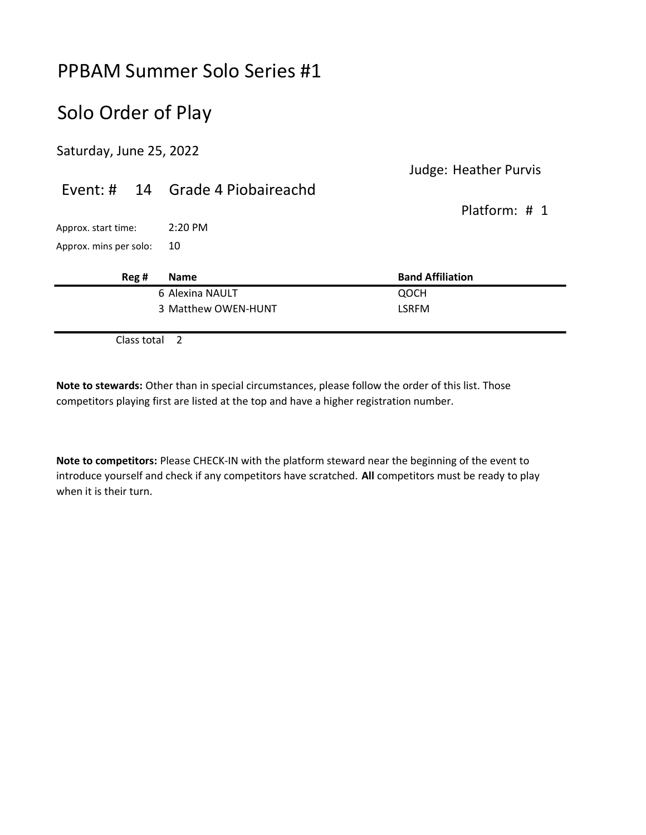## Solo Order of Play

Saturday, June 25, 2022

#### Judge: Heather Purvis

|                        |       | Event: # 14 Grade 4 Piobaireachd | Platform: $\#$ 1        |
|------------------------|-------|----------------------------------|-------------------------|
| Approx. start time:    |       | $2:20 \text{ PM}$                |                         |
| Approx. mins per solo: |       | 10                               |                         |
|                        | Reg # | <b>Name</b>                      | <b>Band Affiliation</b> |
|                        |       | 6 Alexina NAULT                  | QOCH                    |
|                        |       | 3 Matthew OWEN-HUNT              | <b>LSRFM</b>            |

Class total 2

Note to stewards: Other than in special circumstances, please follow the order of this list. Those competitors playing first are listed at the top and have a higher registration number.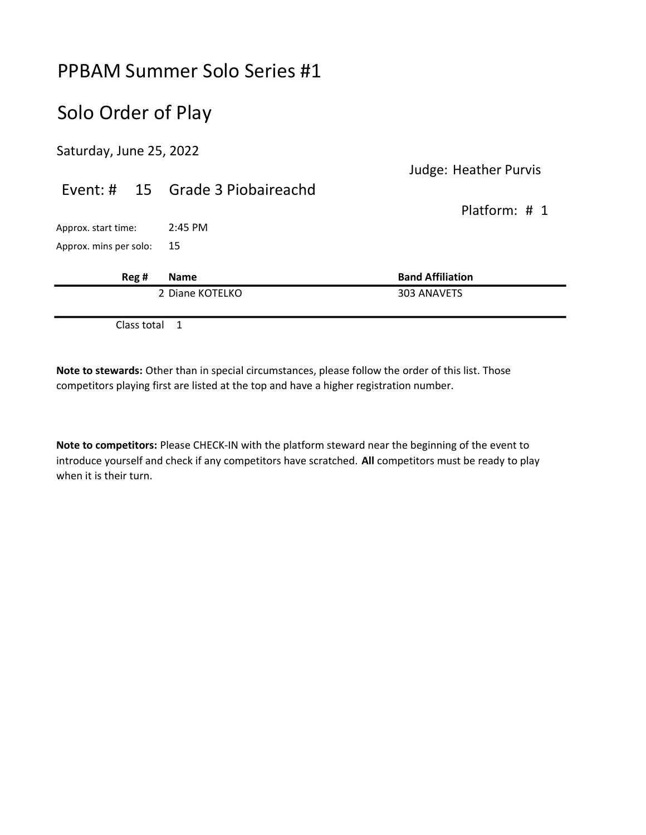## Solo Order of Play

Saturday, June 25, 2022

|                        |       | 2 Diane KOTELKO                  | 303 ANAVETS                  |
|------------------------|-------|----------------------------------|------------------------------|
|                        | Reg # | <b>Name</b>                      | <b>Band Affiliation</b>      |
| Approx. mins per solo: |       | 15                               |                              |
| Approx. start time:    |       | $2:45$ PM                        |                              |
|                        |       |                                  | Platform: # 1                |
|                        |       | Event: # 15 Grade 3 Piobaireachd | <b>Judge: Heather Purvis</b> |
|                        |       |                                  |                              |

Class total 1

Note to stewards: Other than in special circumstances, please follow the order of this list. Those competitors playing first are listed at the top and have a higher registration number.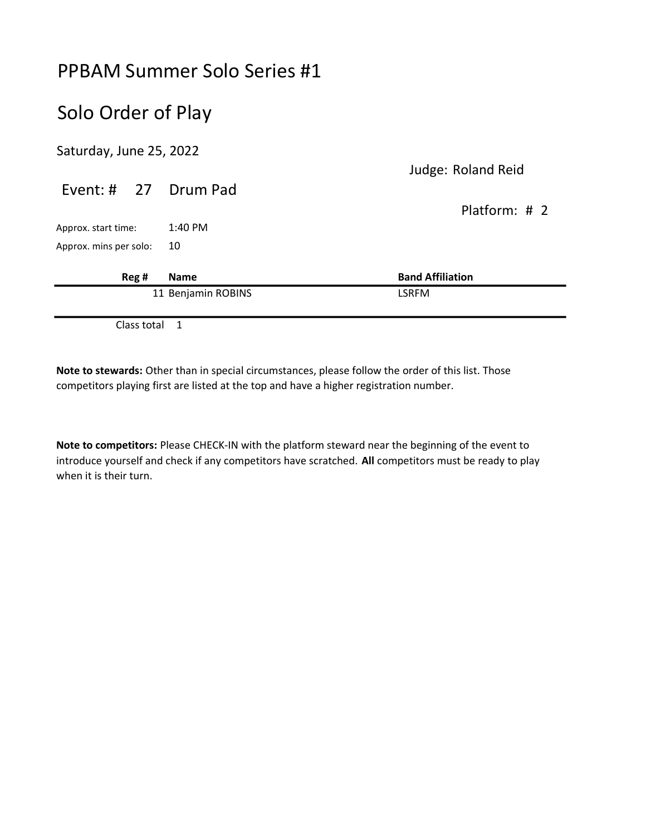## Solo Order of Play

Saturday, June 25, 2022

|                        |                    | Judge: Roland Reid      |
|------------------------|--------------------|-------------------------|
| Event: # 27 Drum Pad   |                    |                         |
|                        |                    | Platform: $\#$ 2        |
| Approx. start time:    | 1:40 PM            |                         |
| Approx. mins per solo: | 10                 |                         |
| Reg #                  | <b>Name</b>        | <b>Band Affiliation</b> |
|                        | 11 Benjamin ROBINS | <b>LSRFM</b>            |
|                        |                    |                         |

Class total 1

Note to stewards: Other than in special circumstances, please follow the order of this list. Those competitors playing first are listed at the top and have a higher registration number.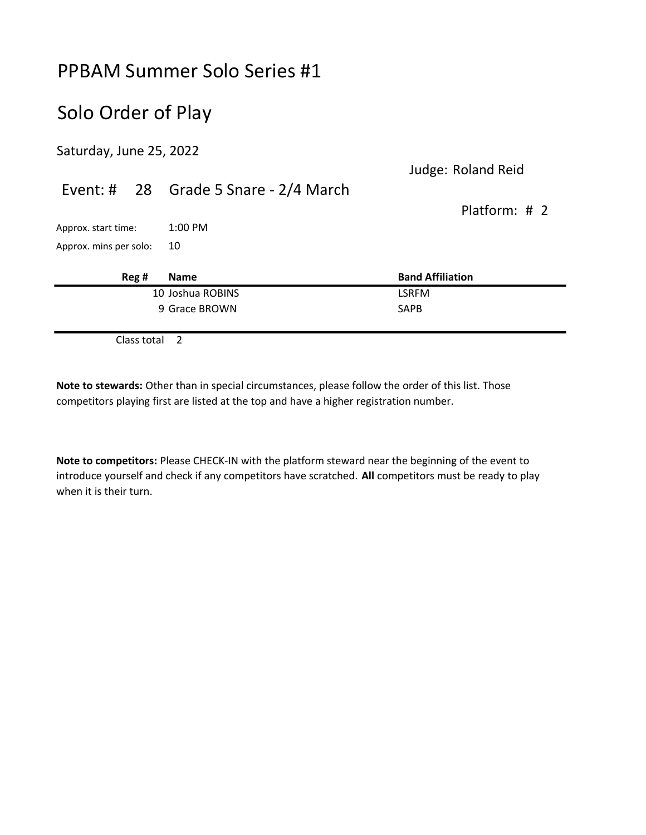## Solo Order of Play

Saturday, June 25, 2022

Judge: Roland Reid

|                        |             | Event: # 28 Grade 5 Snare - 2/4 March |                         |  |
|------------------------|-------------|---------------------------------------|-------------------------|--|
|                        |             |                                       | Platform: # 2           |  |
| Approx. start time:    |             | $1:00$ PM                             |                         |  |
| Approx. mins per solo: |             | 10                                    |                         |  |
|                        | Reg#        | <b>Name</b>                           | <b>Band Affiliation</b> |  |
|                        |             | 10 Joshua ROBINS                      | <b>LSRFM</b>            |  |
|                        |             | 9 Grace BROWN                         | <b>SAPB</b>             |  |
|                        | Class total | 2                                     |                         |  |

Note to stewards: Other than in special circumstances, please follow the order of this list. Those competitors playing first are listed at the top and have a higher registration number.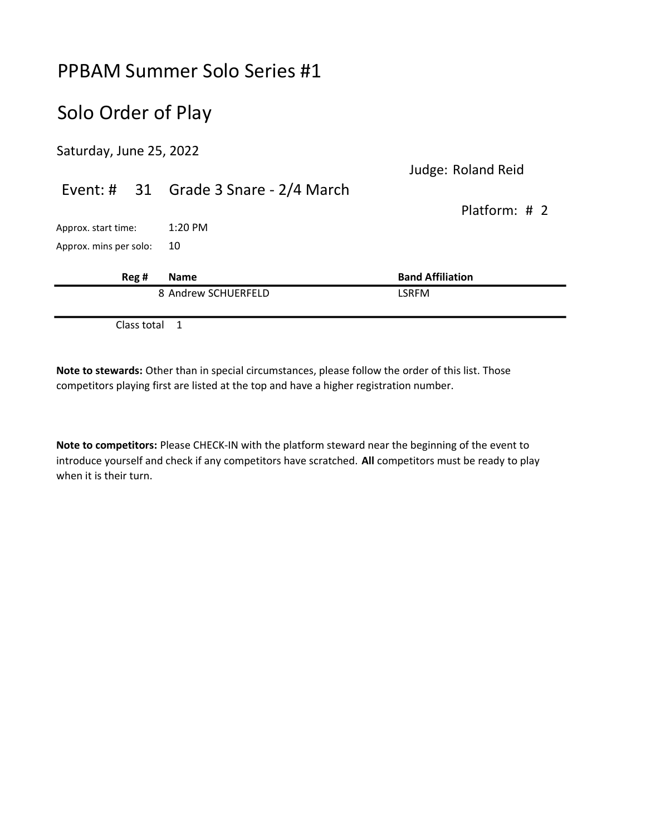## Solo Order of Play

Saturday, June 25, 2022

Judge: Roland Reid

|                        |      | Event: # 31 Grade 3 Snare - 2/4 March |                         |
|------------------------|------|---------------------------------------|-------------------------|
|                        |      |                                       | Platform: $\#$ 2        |
| Approx. start time:    |      | $1:20$ PM                             |                         |
| Approx. mins per solo: |      | 10                                    |                         |
|                        | Reg# | <b>Name</b>                           | <b>Band Affiliation</b> |
|                        |      | 8 Andrew SCHUERFELD                   | <b>LSRFM</b>            |
|                        |      |                                       |                         |

Class total 1

Note to stewards: Other than in special circumstances, please follow the order of this list. Those competitors playing first are listed at the top and have a higher registration number.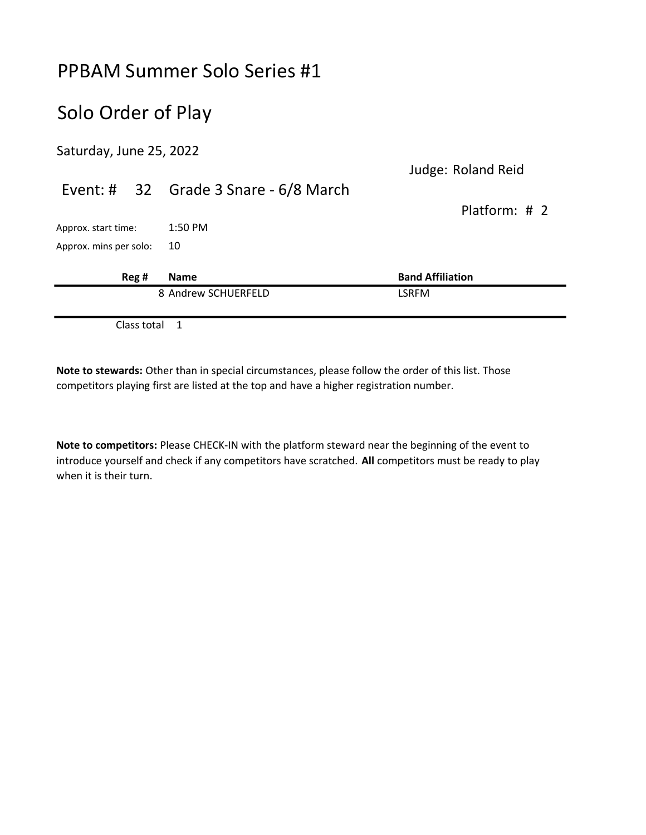## Solo Order of Play

Saturday, June 25, 2022

Judge: Roland Reid

|                        |       | Event: # 32 Grade 3 Snare - 6/8 March |                         |
|------------------------|-------|---------------------------------------|-------------------------|
|                        |       |                                       | Platform: # 2           |
| Approx. start time:    |       | $1:50$ PM                             |                         |
| Approx. mins per solo: |       | 10                                    |                         |
|                        | Reg # | <b>Name</b>                           | <b>Band Affiliation</b> |
|                        |       | 8 Andrew SCHUERFELD                   | <b>LSRFM</b>            |
|                        |       |                                       |                         |

Class total 1

Note to stewards: Other than in special circumstances, please follow the order of this list. Those competitors playing first are listed at the top and have a higher registration number.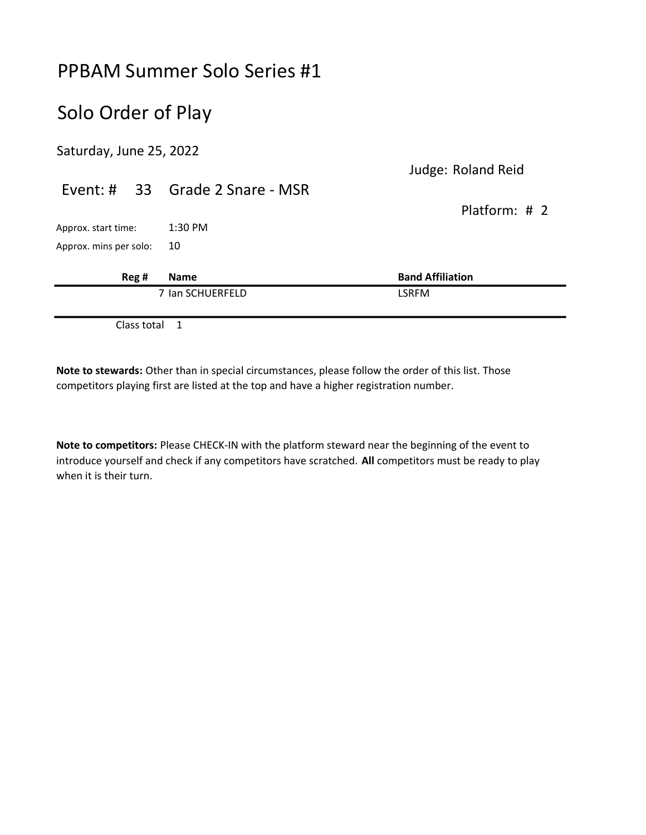## Solo Order of Play

Saturday, June 25, 2022

Judge: Roland Reid

# Event: # 33 Grade 2 Snare - MSR Platform: # 2 Approx. start time: 1:30 PM Approx. mins per solo: 10 Reg # Name Band Affiliation 7 Ian SCHUERFELD LSRFM

Class total 1

Note to stewards: Other than in special circumstances, please follow the order of this list. Those competitors playing first are listed at the top and have a higher registration number.